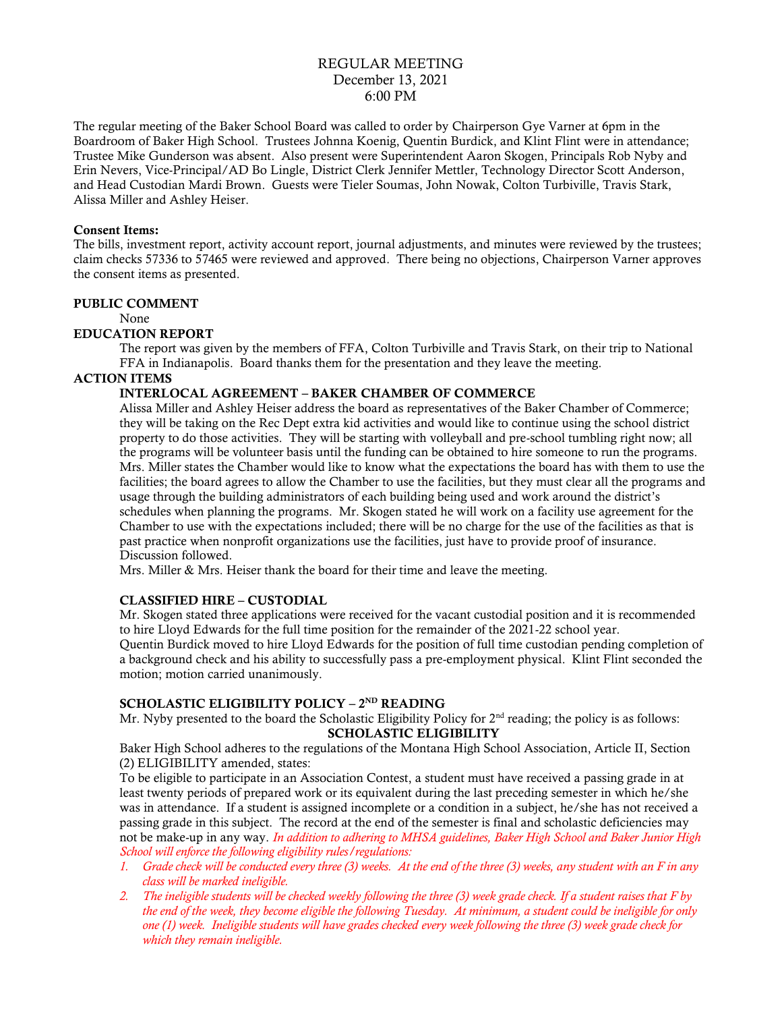# REGULAR MEETING December 13, 2021 6:00 PM

The regular meeting of the Baker School Board was called to order by Chairperson Gye Varner at 6pm in the Boardroom of Baker High School. Trustees Johnna Koenig, Quentin Burdick, and Klint Flint were in attendance; Trustee Mike Gunderson was absent. Also present were Superintendent Aaron Skogen, Principals Rob Nyby and Erin Nevers, Vice-Principal/AD Bo Lingle, District Clerk Jennifer Mettler, Technology Director Scott Anderson, and Head Custodian Mardi Brown. Guests were Tieler Soumas, John Nowak, Colton Turbiville, Travis Stark, Alissa Miller and Ashley Heiser.

#### Consent Items:

The bills, investment report, activity account report, journal adjustments, and minutes were reviewed by the trustees; claim checks 57336 to 57465 were reviewed and approved. There being no objections, Chairperson Varner approves the consent items as presented.

### PUBLIC COMMENT

None

### EDUCATION REPORT

The report was given by the members of FFA, Colton Turbiville and Travis Stark, on their trip to National FFA in Indianapolis. Board thanks them for the presentation and they leave the meeting.

# ACTION ITEMS

## INTERLOCAL AGREEMENT – BAKER CHAMBER OF COMMERCE

Alissa Miller and Ashley Heiser address the board as representatives of the Baker Chamber of Commerce; they will be taking on the Rec Dept extra kid activities and would like to continue using the school district property to do those activities. They will be starting with volleyball and pre-school tumbling right now; all the programs will be volunteer basis until the funding can be obtained to hire someone to run the programs. Mrs. Miller states the Chamber would like to know what the expectations the board has with them to use the facilities; the board agrees to allow the Chamber to use the facilities, but they must clear all the programs and usage through the building administrators of each building being used and work around the district's schedules when planning the programs. Mr. Skogen stated he will work on a facility use agreement for the Chamber to use with the expectations included; there will be no charge for the use of the facilities as that is past practice when nonprofit organizations use the facilities, just have to provide proof of insurance. Discussion followed.

Mrs. Miller & Mrs. Heiser thank the board for their time and leave the meeting.

### CLASSIFIED HIRE – CUSTODIAL

Mr. Skogen stated three applications were received for the vacant custodial position and it is recommended to hire Lloyd Edwards for the full time position for the remainder of the 2021-22 school year.

Quentin Burdick moved to hire Lloyd Edwards for the position of full time custodian pending completion of a background check and his ability to successfully pass a pre-employment physical. Klint Flint seconded the motion; motion carried unanimously.

## SCHOLASTIC ELIGIBILITY POLICY – 2<sup>nd</sup> READING

Mr. Nyby presented to the board the Scholastic Eligibility Policy for  $2<sup>nd</sup>$  reading; the policy is as follows: SCHOLASTIC ELIGIBILITY

Baker High School adheres to the regulations of the Montana High School Association, Article II, Section (2) ELIGIBILITY amended, states:

To be eligible to participate in an Association Contest, a student must have received a passing grade in at least twenty periods of prepared work or its equivalent during the last preceding semester in which he/she was in attendance. If a student is assigned incomplete or a condition in a subject, he/she has not received a passing grade in this subject. The record at the end of the semester is final and scholastic deficiencies may not be make-up in any way. *In addition to adhering to MHSA guidelines, Baker High School and Baker Junior High School will enforce the following eligibility rules/regulations:*

- *1. Grade check will be conducted every three (3) weeks. At the end of the three (3) weeks, any student with an F in any class will be marked ineligible.*
- *2. The ineligible students will be checked weekly following the three (3) week grade check. If a student raises that F by the end of the week, they become eligible the following Tuesday. At minimum, a student could be ineligible for only one (1) week. Ineligible students will have grades checked every week following the three (3) week grade check for which they remain ineligible.*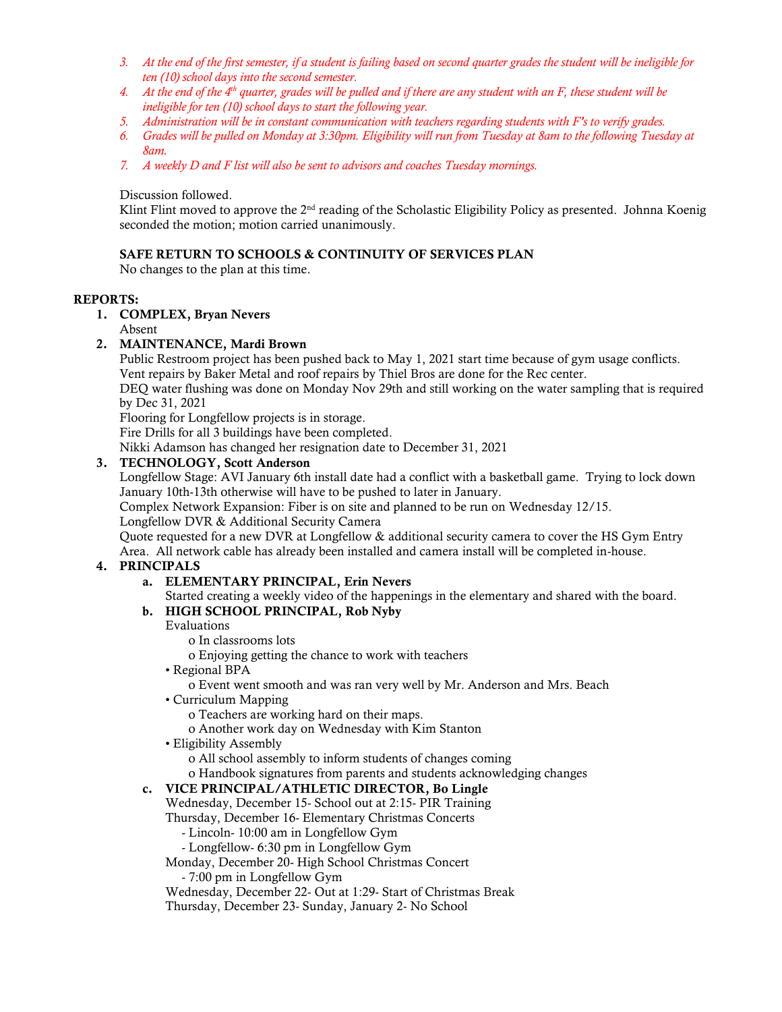- *3. At the end of the first semester, if a student is failing based on second quarter grades the student will be ineligible for ten (10) school days into the second semester.*
- *4. At the end of the 4th quarter, grades will be pulled and if there are any student with an F, these student will be ineligible for ten (10) school days to start the following year.*
- *5. Administration will be in constant communication with teachers regarding students with F's to verify grades.*
- *6. Grades will be pulled on Monday at 3:30pm. Eligibility will run from Tuesday at 8am to the following Tuesday at 8am.*
- *7. A weekly D and F list will also be sent to advisors and coaches Tuesday mornings.*

## Discussion followed.

Klint Flint moved to approve the 2<sup>nd</sup> reading of the Scholastic Eligibility Policy as presented. Johnna Koenig seconded the motion; motion carried unanimously.

## SAFE RETURN TO SCHOOLS & CONTINUITY OF SERVICES PLAN

No changes to the plan at this time.

## REPORTS:

## 1. COMPLEX, Bryan Nevers

# Absent

# 2. MAINTENANCE, Mardi Brown

Public Restroom project has been pushed back to May 1, 2021 start time because of gym usage conflicts. Vent repairs by Baker Metal and roof repairs by Thiel Bros are done for the Rec center.

DEQ water flushing was done on Monday Nov 29th and still working on the water sampling that is required by Dec 31, 2021

Flooring for Longfellow projects is in storage.

Fire Drills for all 3 buildings have been completed.

Nikki Adamson has changed her resignation date to December 31, 2021

# 3. TECHNOLOGY, Scott Anderson

Longfellow Stage: AVI January 6th install date had a conflict with a basketball game. Trying to lock down January 10th-13th otherwise will have to be pushed to later in January.

Complex Network Expansion: Fiber is on site and planned to be run on Wednesday 12/15. Longfellow DVR & Additional Security Camera

Quote requested for a new DVR at Longfellow & additional security camera to cover the HS Gym Entry

Area. All network cable has already been installed and camera install will be completed in-house.

### 4. PRINCIPALS

# a. ELEMENTARY PRINCIPAL, Erin Nevers

Started creating a weekly video of the happenings in the elementary and shared with the board.

# b. HIGH SCHOOL PRINCIPAL, Rob Nyby

### Evaluations

o In classrooms lots

o Enjoying getting the chance to work with teachers

- Regional BPA
	- o Event went smooth and was ran very well by Mr. Anderson and Mrs. Beach
- Curriculum Mapping

o Teachers are working hard on their maps.

- o Another work day on Wednesday with Kim Stanton
- Eligibility Assembly
	- o All school assembly to inform students of changes coming
	- o Handbook signatures from parents and students acknowledging changes

### c. VICE PRINCIPAL/ATHLETIC DIRECTOR, Bo Lingle

Wednesday, December 15- School out at 2:15- PIR Training

Thursday, December 16- Elementary Christmas Concerts

- Lincoln- 10:00 am in Longfellow Gym

- Longfellow- 6:30 pm in Longfellow Gym

Monday, December 20- High School Christmas Concert

- 7:00 pm in Longfellow Gym

Wednesday, December 22- Out at 1:29- Start of Christmas Break

Thursday, December 23- Sunday, January 2- No School